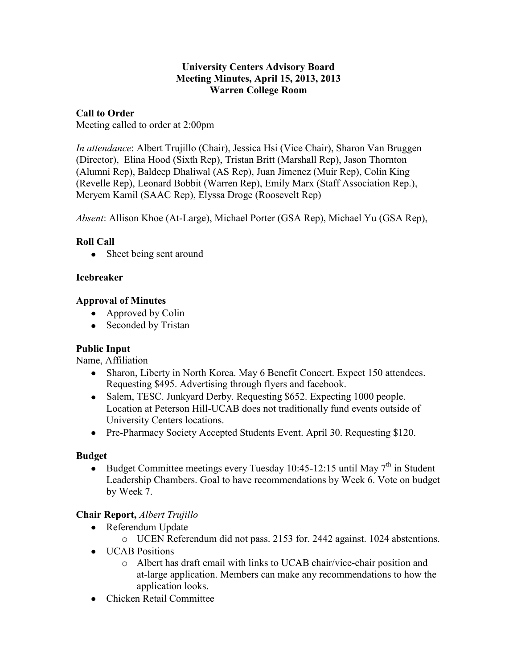### **University Centers Advisory Board Meeting Minutes, April 15, 2013, 2013 Warren College Room**

## **Call to Order**

Meeting called to order at 2:00pm

*In attendance*: Albert Trujillo (Chair), Jessica Hsi (Vice Chair), Sharon Van Bruggen (Director), Elina Hood (Sixth Rep), Tristan Britt (Marshall Rep), Jason Thornton (Alumni Rep), Baldeep Dhaliwal (AS Rep), Juan Jimenez (Muir Rep), Colin King (Revelle Rep), Leonard Bobbit (Warren Rep), Emily Marx (Staff Association Rep.), Meryem Kamil (SAAC Rep), Elyssa Droge (Roosevelt Rep)

*Absent*: Allison Khoe (At-Large), Michael Porter (GSA Rep), Michael Yu (GSA Rep),

# **Roll Call**

• Sheet being sent around

## **Icebreaker**

## **Approval of Minutes**

- Approved by Colin
- Seconded by Tristan

# **Public Input**

Name, Affiliation

- Sharon, Liberty in North Korea. May 6 Benefit Concert. Expect 150 attendees. Requesting \$495. Advertising through flyers and facebook.
- Salem, TESC. Junkyard Derby. Requesting \$652. Expecting 1000 people. Location at Peterson Hill-UCAB does not traditionally fund events outside of University Centers locations.
- Pre-Pharmacy Society Accepted Students Event. April 30. Requesting \$120.

# **Budget**

Budget Committee meetings every Tuesday 10:45-12:15 until May  $7<sup>th</sup>$  in Student Leadership Chambers. Goal to have recommendations by Week 6. Vote on budget by Week 7.

# **Chair Report,** *Albert Trujillo*

- Referendum Update
	- o UCEN Referendum did not pass. 2153 for. 2442 against. 1024 abstentions.
- **UCAB** Positions
	- o Albert has draft email with links to UCAB chair/vice-chair position and at-large application. Members can make any recommendations to how the application looks.
- Chicken Retail Committee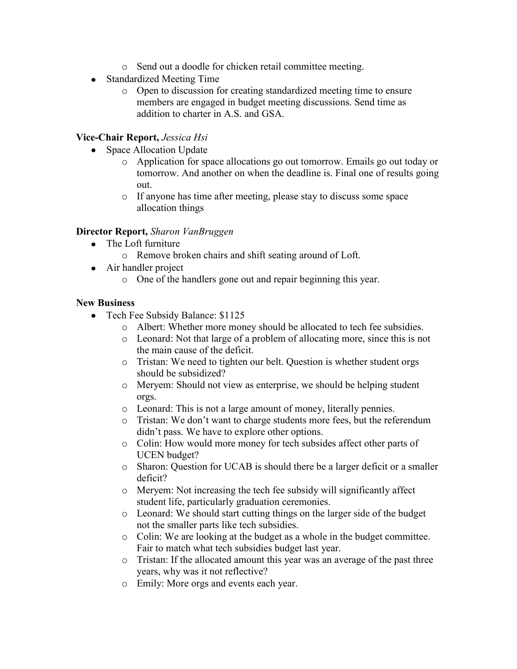- o Send out a doodle for chicken retail committee meeting.
- Standardized Meeting Time
	- o Open to discussion for creating standardized meeting time to ensure members are engaged in budget meeting discussions. Send time as addition to charter in A.S. and GSA.

#### **Vice-Chair Report,** *Jessica Hsi*

- Space Allocation Update
	- o Application for space allocations go out tomorrow. Emails go out today or tomorrow. And another on when the deadline is. Final one of results going out.
	- o If anyone has time after meeting, please stay to discuss some space allocation things

#### **Director Report,** *Sharon VanBruggen*

- The Loft furniture
	- o Remove broken chairs and shift seating around of Loft.
- Air handler project
	- o One of the handlers gone out and repair beginning this year.

#### **New Business**

- Tech Fee Subsidy Balance: \$1125
	- o Albert: Whether more money should be allocated to tech fee subsidies.
	- o Leonard: Not that large of a problem of allocating more, since this is not the main cause of the deficit.
	- o Tristan: We need to tighten our belt. Question is whether student orgs should be subsidized?
	- o Meryem: Should not view as enterprise, we should be helping student orgs.
	- o Leonard: This is not a large amount of money, literally pennies.
	- o Tristan: We don't want to charge students more fees, but the referendum didn't pass. We have to explore other options.
	- o Colin: How would more money for tech subsides affect other parts of UCEN budget?
	- o Sharon: Question for UCAB is should there be a larger deficit or a smaller deficit?
	- o Meryem: Not increasing the tech fee subsidy will significantly affect student life, particularly graduation ceremonies.
	- o Leonard: We should start cutting things on the larger side of the budget not the smaller parts like tech subsidies.
	- o Colin: We are looking at the budget as a whole in the budget committee. Fair to match what tech subsidies budget last year.
	- o Tristan: If the allocated amount this year was an average of the past three years, why was it not reflective?
	- o Emily: More orgs and events each year.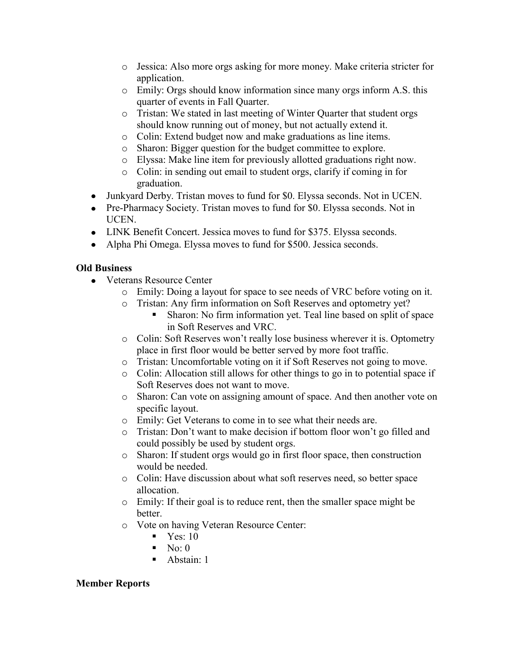- o Jessica: Also more orgs asking for more money. Make criteria stricter for application.
- o Emily: Orgs should know information since many orgs inform A.S. this quarter of events in Fall Quarter.
- o Tristan: We stated in last meeting of Winter Quarter that student orgs should know running out of money, but not actually extend it.
- o Colin: Extend budget now and make graduations as line items.
- o Sharon: Bigger question for the budget committee to explore.
- o Elyssa: Make line item for previously allotted graduations right now.
- o Colin: in sending out email to student orgs, clarify if coming in for graduation.
- Junkyard Derby. Tristan moves to fund for \$0. Elyssa seconds. Not in UCEN.
- Pre-Pharmacy Society. Tristan moves to fund for \$0. Elyssa seconds. Not in UCEN.
- LINK Benefit Concert. Jessica moves to fund for \$375. Elyssa seconds.
- Alpha Phi Omega. Elyssa moves to fund for \$500. Jessica seconds.

# **Old Business**

- Veterans Resource Center
	- o Emily: Doing a layout for space to see needs of VRC before voting on it.
	- o Tristan: Any firm information on Soft Reserves and optometry yet?
		- Sharon: No firm information yet. Teal line based on split of space in Soft Reserves and VRC.
	- o Colin: Soft Reserves won't really lose business wherever it is. Optometry place in first floor would be better served by more foot traffic.
	- o Tristan: Uncomfortable voting on it if Soft Reserves not going to move.
	- o Colin: Allocation still allows for other things to go in to potential space if Soft Reserves does not want to move.
	- o Sharon: Can vote on assigning amount of space. And then another vote on specific layout.
	- o Emily: Get Veterans to come in to see what their needs are.
	- o Tristan: Don't want to make decision if bottom floor won't go filled and could possibly be used by student orgs.
	- o Sharon: If student orgs would go in first floor space, then construction would be needed.
	- o Colin: Have discussion about what soft reserves need, so better space allocation.
	- o Emily: If their goal is to reduce rent, then the smaller space might be better.
	- o Vote on having Veteran Resource Center:
		- $\blacksquare$  Yes: 10
		- $\blacksquare$  No: 0
		- $\blacksquare$  Abstain: 1

# **Member Reports**